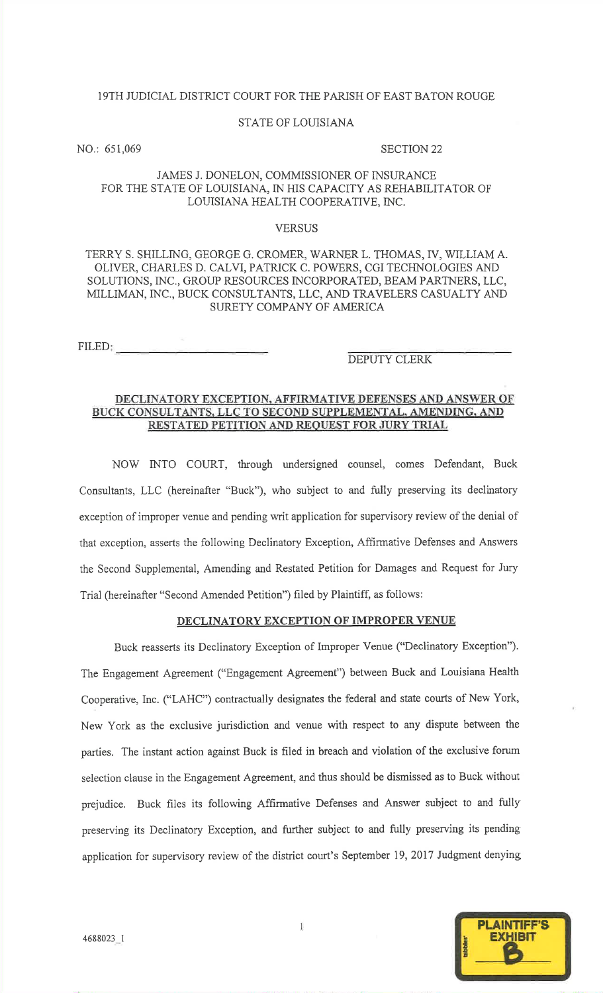### 19TH JUDICIAL DISTRICT COURT FOR THE PARISH OF EAST BATON ROUGE

### STATE OF LOUISIANA

NO.: 651,069

### SECTION <sup>22</sup>

# JAMES J. DONELON, COMMISSIONER OF INSURANCE FOR THE STATE OF LOUISIANA, IN HiS CAPACITY AS REHABILITATOR OFLOUISIANA HEALTH COOPERATIVE, INC.

### **VERSUS**

# TERRY S. SHILLING, GEORGE G. CROMER, WARNER L. THOMAS, IV, WILIAM A.OLIVER, CHARLES D. CALVI, PATzuCK C. POWERS, CGI TECHNOLOGIES AND SOLUTIONS, INC., GROUP RESOURCES INCORPORATED, BEAM PARTNERS, LLC, MILLIMAN, NC., BUCK CONSULTANTS, LLC, AND TRAVELERS CASUALTY ANDSURETY COMPANY OF AMERICA

FILED:

# DEPUTY CLERK

## DECLINATORY EXCEPTION. AFFIRMATIVE DEFENSES AND ANSWER OFBUCK CONSULTANTS, LLC TO SECOND SUPPLEMENTAL, AMENDING, AND RESTATED PETITION AND REOUEST FOR JURY TRIAL

NOW INTO COURT, through undersigned counsel, comes Defendant, BuckConsultants, LLC (hereinafter "Buck"), who subject to and fully preserving its declinatoryexception of improper venue and pending writ application for supervisory review of the denial ofthat exception, asserts the following Declinatory Exception, Affirmative Defenses and Answersthe Second Supplemental, Amending and Restated Petition for Damages and Request for JuryTrial (hereinafter "second Amended Petition") filed by Plaintiff, as foilows:

# DECLINATORY EXCEPTION OF IMPROPER VENUE

Buck reasserts its Declinatory Exception of Improper Venue ("Declinatory Exception"). The Engagement Agreement ("Engagement Agreement") between Buck and Louisiana HealthCooperative, Inc. ("LAHC") contractually designates the federal and state courts of New York, New York as the exclusive jurisdiction and venue with respect to any dispute between theparties. The instant action against Buck is fiIed in breach and violation of the exclusive forumselection clause in the Engagement Agreement, and thus should be dismissed as to Buck without prejudice. Buck files its following Affirmative Defenses and Answer subject to and fullypreserving its Declinatory Exception, and further subject to and fully preserving its pendingapplication for supervisory review of the district court's September 19,2017 Judgment denying

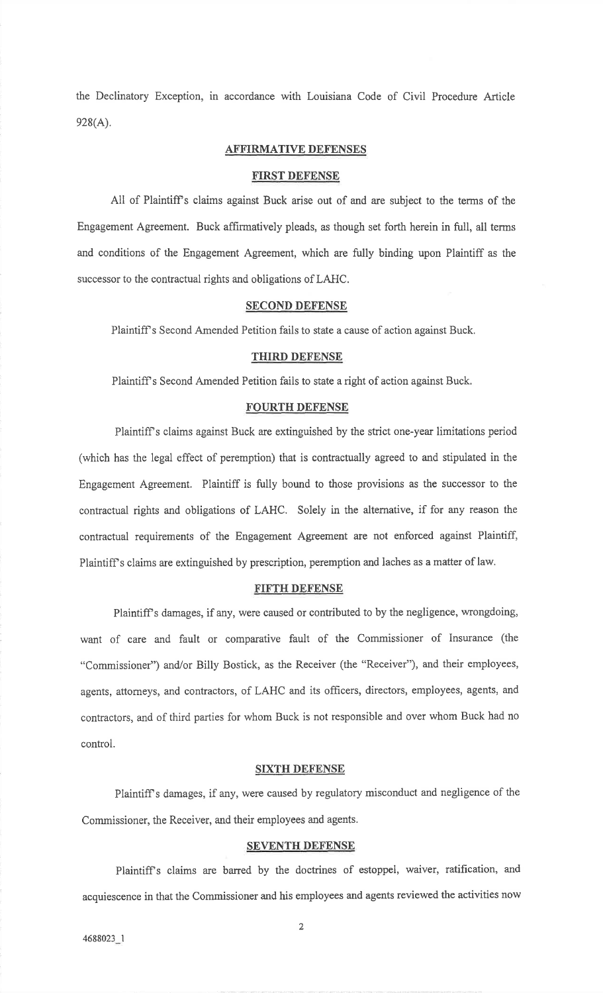the Declinatory Exception, in accordance with Louisiana Code of Civil Procedure Article $928(A).$ 

# AFFIRMATIVE DEFENSES

### FIRST DEFENSE

All of Plaintiff s claims against Buck arise out of and are subject to the terms of theEngagement Agreement. Buck affirmatively pleads, as though set forth herein in full, all termsand conditions of the Engagement Agreement, which are fully binding upon Plaintiff as thesuccessor to the contractual rights and obligations of LAHC.

# SECOND DEFENSE

Plaintiff's Second Amended Petition fails to state a cause of action against Buck.

# THIRD DEFENSE

Plaintiffs Second Amended Petition fails to state a right of action against Buck.

### FOURTH DEFENSE

Plaintiff's claims against Buck are extinguished by the strict one-year limitations period (which has the legal effect of peremption) that is contractually agreed to and stipulated in theEngagement Agreement. Plaintiff is fully bound to those provisions as the successor to thecontractual rights and obligations of LAHC. Solely in the alternative, if for any reason thecontractual requirements of the Engagement Agreement are not enforced against Plaintiff, Plaintiff's claims are extinguished by prescription, peremption and laches as a matter of law.

### FIFTH DEFENSE

Plaintiff's damages, if any, were caused or contributed to by the negligence, wrongdoing, want of care and fault or comparative fault of the Commissioner of Insurance (the"Commissioner") and/or Billy Bostick, as the Receiver (the "Receiver"), and their employees, agents, attorneys, and contractors, of LAHC and its officers, directors, employees, agents, andcontractors, and of third parties for whom Buck is not responsible and over whom Buck had nocontrol.

### SIXTH DEFENSE

Plaintiff's damages, if any, were caused by regulatory misconduct and negligence of the Commissioner, the Receiver, and their employees and agents.

### SEVENTH DEFENSE

Plaintiffs claims are barred by the doctrines of estoppel, waiver, ratification, andacquiescence in that the Commissioner and his employees and agents reviewed the activities now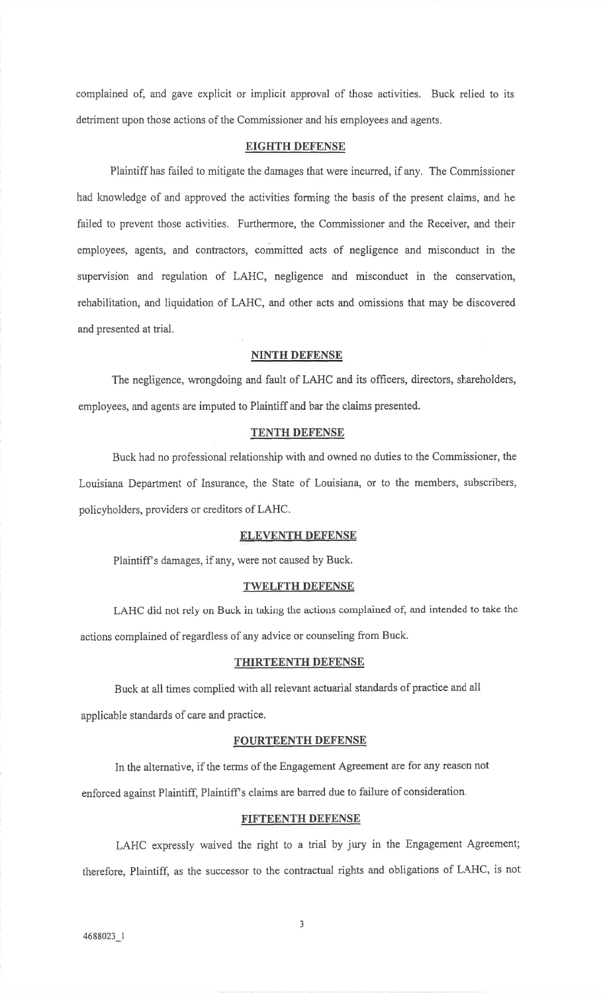complained of, and gave explicit or implicit approval of those activities. Buck relied to itsdetriment upon those actions of the Commissioner and his employees and agents.

# EIGHTH DEFENSE

Plaintiff has failed to mitigate the damages that were incurred, if any. The Commissionerhad knowledge of and approved the activities forming the basis of the present claims, and hefailed to prevent those activities. Furthermore, the Commissioner and the Receiver, and theiremployees, agents, and contractors, committed acts of negligence and misconduct in the supervision and regulation of LAHC, negligence and misconduct in the conservation,rehabilitation, and liquidation of LAHC, and other acts and omissions that may be discoveredand presented at trial.

### NINTH DEFENSE

The negligence, wrongdoing and fault of LAHC and its officers, directors, shareholders, employees, and agents are imputed to Plaintiff and bar the claims presented.

### TENTH DEFENSE

Buck had no professional relationship with and owned no duties to the Commissioner, theLouisiana Department of Insurance, the State of Louisiana, or to the members, subscribers, policyholders, providers or creditors of LAHC.

# ELEVENTH DEFENSE

Plaintiff s damages, if any, were not caused by Buck.

### TWELFTH DEFENSE

LAHC did not rely on Buck in taking the actions complained of, and intended to take theactions complained of regardless of any advice or counseling from Buck.

### THIRTEENTH DEFENSE

Buck at all times complied with all relevant actuarial standards of practice and all applicable standards of care and practice.

# FOURTEENTH DEFENSE

In the altemative, if the terms of the Engagement Agreement are for any reason not enforced against Plaintiff, Plaintiff's claims are barred due to failure of consideration.

### FIFTEENTH DEFENSE

LAHC expressly waived the right to a trial by jury in the Engagement Agreement; therefore, Plaintiff, as the successor to the contractual rights and obligations of LAHC, is not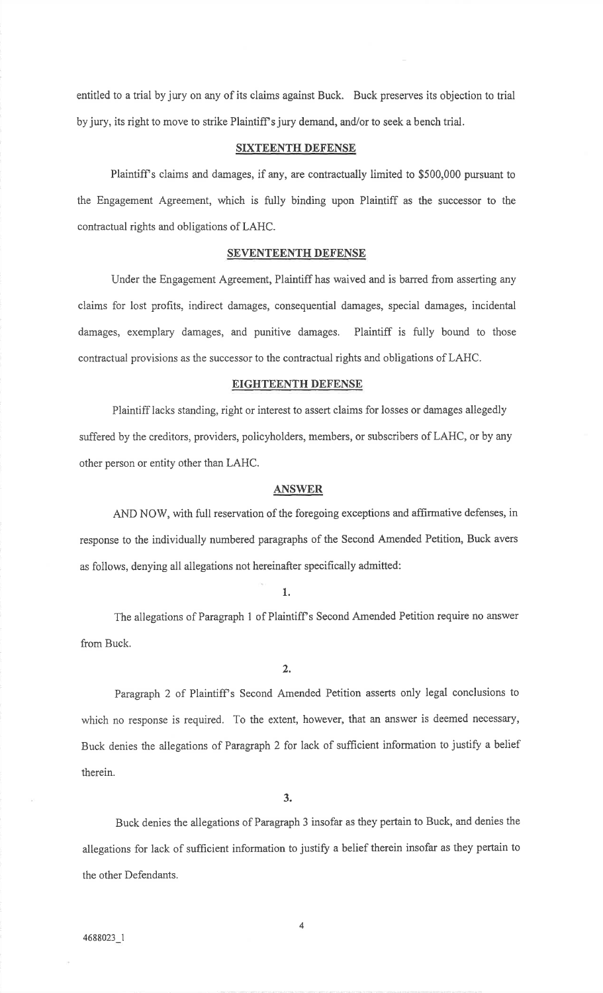entitled to a trial by jury on any of its claims against Buck. Buck preserves its objection to trialby jury, its right to move to strike Plaintiff's jury demand, and/or to seek a bench trial.

# SIXTEENTH DEFENSE

Plaintiff's claims and damages, if any, are contractually limited to \$500,000 pursuant to the Engagement Agreement, which is fully binding upon Plaintiff as the successor to thecontractual rights and obligations of LAHC.

# SEVENTEENTH DEFENSE

Under the Engagement Agreement, Plaintiff has waived and is barred from asserting anyciaims for lost profits, indirect damages, consequential damages, special damages, incidental damages, exemplary damages, and punitive damages. Plaintiff is fully bound to thosecontractual provisions as the successor to the contractual rights and obligations of LAHC.

## EIGHTEENTH DEFENSE

Plaintiff lacks standing, right or interest to assert claims for losses or damages allegedlysuffered by the creditors, providers, policyholders, members, or subscribers of LAHC, or by anyother person or entity other than LAHC.

### **ANSWER**

AND NOW, with full reservation of the foregoing exceptions and affirmative defenses, inresponse to the individually numbered paragraphs of the Second Amended Petition, Buck aversas follows, denying all allegations not hereinafter specifically admitted:

### 1.

The allegations of Paragraph 1 of Plaintiff's Second Amended Petition require no answer from Buck.

2.

Paragraph 2 of Plaintiff's Second Amended Petition asserts only legal conclusions to which no response is required. To the extent, however, that an answer is deemed necessary, Buck denies the allegations of Paragraph 2 for lack of sufficient information to justify a belief therein.

3.

Buck denies the allegations of Paragraph 3 insofar as they pertain to Buck, and denies theallegations for lack of sufficient information to justify a belief therein insofar as they pertain to the other Defendants.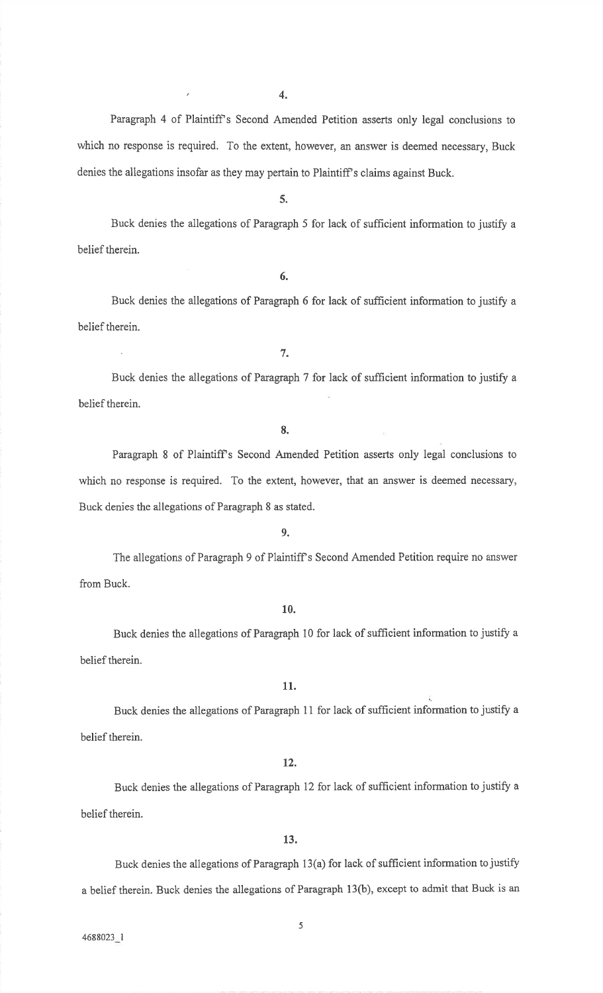$\overline{\phantom{a}}$ 

Paragraph 4 of Plaintiff's Second Amended Petition asserts only legal conclusions to which no response is required. To the extent, however, an answer is deemed necessary, Buckdenies the allegations insofar as they may pertain to Plaintiff's claims against Buck.

5.

Buck denies the allegations of Paragraph 5 for lack of sufficient information to justify a belief therein.

6.

Buck denies the allegations of Paragraph 6 for lack of sufficient information to justify a belief therein.

7.

Buck denies the allegations of Paragraph 7 for lack of sufficient information to justify a belief therein.

8.

Paragraph 8 of Plaintiff's Second Amended Petition asserts only legal conclusions to which no response is required. To the extent, however, that an answer is deemed necessary,Buck denies the allegations of Paragraph 8 as stated.

9.

The allegations of Paragraph 9 of Plaintiff s Second Amended Petition require no answerfrom Buck.

10.

Buck denies the allegations of Paragraph 10 for lack of sufficient information to justify a belief therein.

11.

Buck denies the allegations of Paragraph 11 for lack of sufficient information to justify a belief therein.

# 12.

Buck denies the allegations of Paragraph 12 for lack of sufficient information to justify a belief therein.

13.

Buck denies the allegations of Paragraph 13(a) for lack of sufficient information to justify a belief therein. Buck denies the allegations of Paragraph 13(b), except to admit that Busk is an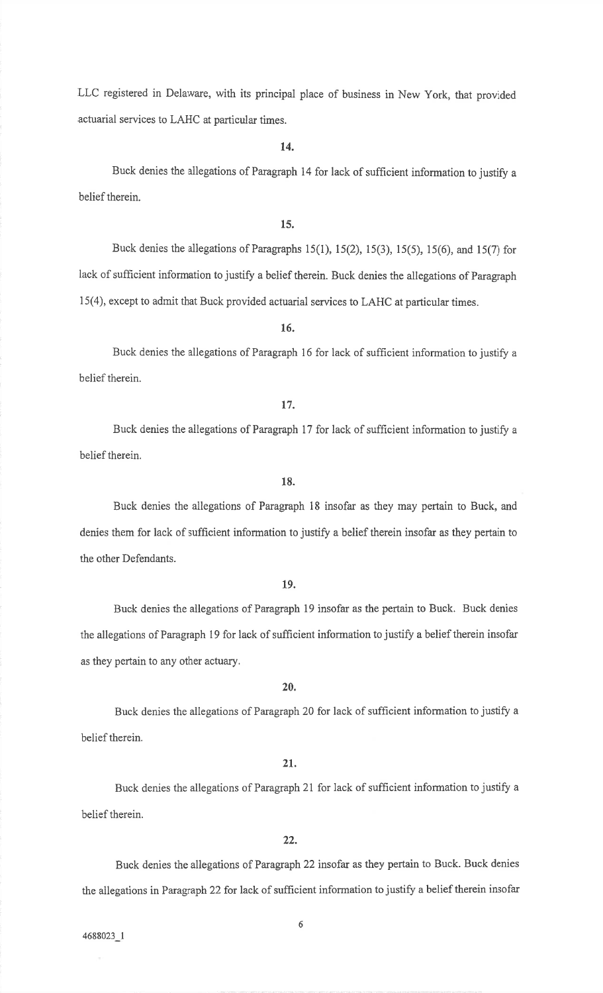LLC registered in Delaware, with its principal place of business in New York, that providedactuarial services to LAHC at particular times.

14.

Buck denies the allegations of Paragraph 14 for lack of sufficient information to justify a belief therein.

## 15.

Buck denies the allegations of Paragraphs  $15(1)$ ,  $15(2)$ ,  $15(3)$ ,  $15(5)$ ,  $15(6)$ , and  $15(7)$  for lack of sufficient information to justify a belief therein. Buck denies the allegations of Paragraph 15(4), except to admit that Buck provided actuarial sewices to LAHC at particular times.

16.

Buck denies the allegations of Paragraph 16 for lack of sufficient information to justify a belief therein.

### 17.

Buck denies the allegations of Paragraph 17 for lack of sufficient information to justify a belief therein.

18.

Buck denies the allegations of Paragraph 18 insofar as they may pertain to Buck, anddenies them for lack of sufficient information to justify a belief therein insofar as they pertain to the other Defendants.

# 19.

Buck denies the allegations of Paragraph i9 insofar as the pertain to Buck. Buck deniesthe allegations of Paragraph 19 for lack of sufficient information to justify a belief therein insofar as they pertain to any other actuary.

20.

Buck denies the allegations of Paragraph 20 for lack of sufficient information to justify a belief therein.

### 21.

Buck denies the allegations of Paragraph 21 for lack of sufficient information to justify a belief therein.

### 22.

Buck denies the allegations of Paragraph 22 insofar as they pertain to Buck. Buck deniesthe allegations in Paragraph 22 for lack of sufficient information to justify a belief therein insofar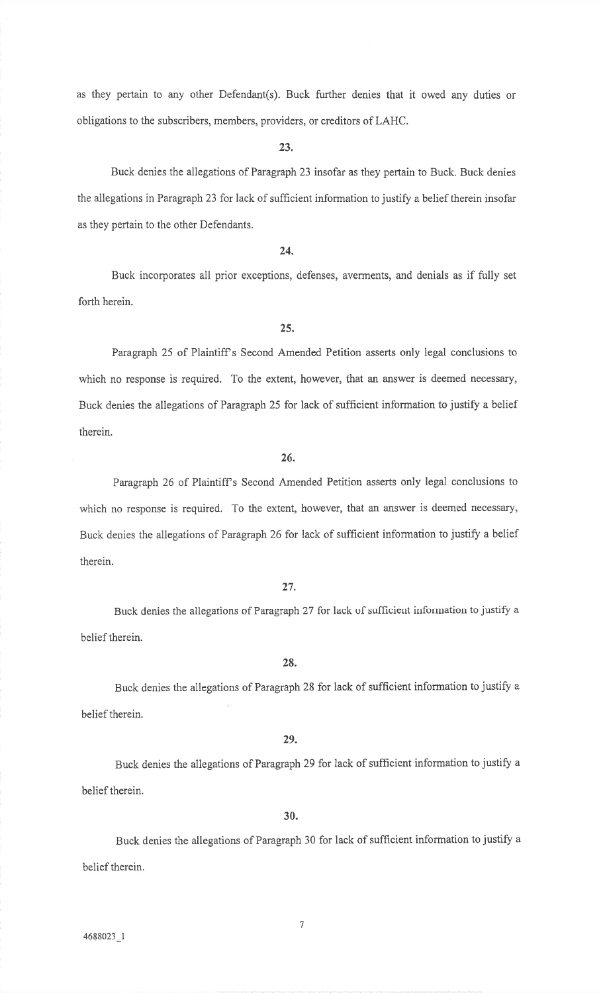as they pertain to any other Defendant(s). Buck further denies that it owed any duties orobligations to the subscribers, members, providers, or creditors of LAHC.

### 23.

Buck denies the allegations of Paragraph 23 insofar as they pertain to Buck. Buck deniesthe allegations in Paragraph 23 for lack of sufficient information to justify a belief therein insofar as they pertain to the other Defendants,

# 24.

Buck incorporates all prior exceptions, defenses, averments, and denials as if fully set forth herein.

### 25.

Paragraph 25 of Plaintiff's Second Amended Petition asserts only legal conclusions to which no response is required. To the extent, however, that an answer is deemed necessary, Buck denies the allegations of Paragraph 25 for lack of sufficient information to justify a belieftherein.

# 26.

Paragraph 26 of Plaintiff's Second Amended Petition asserts only legal conclusions to which no response is required. To the extent, however, that an answer is deemed necessary, Buck denies the allegations of Paragraph 26 for lack of sufficient information to justify a belief therein.

# 27.

Buck denies the allegations of Paragraph 27 for lack of sufficient information to justify a belief therein.

### 28.

Buck denies the allegations of Paragraph 28 for lack of sufficient information to justify a belief therein.

### 29.

Buck denies the allegations of Paragraph 29 for lack of sufficient information to justify a belief therein.

### 30.

Buck denies the allegations of Paragraph 30 for lack of sufficient information to justify abelief therein.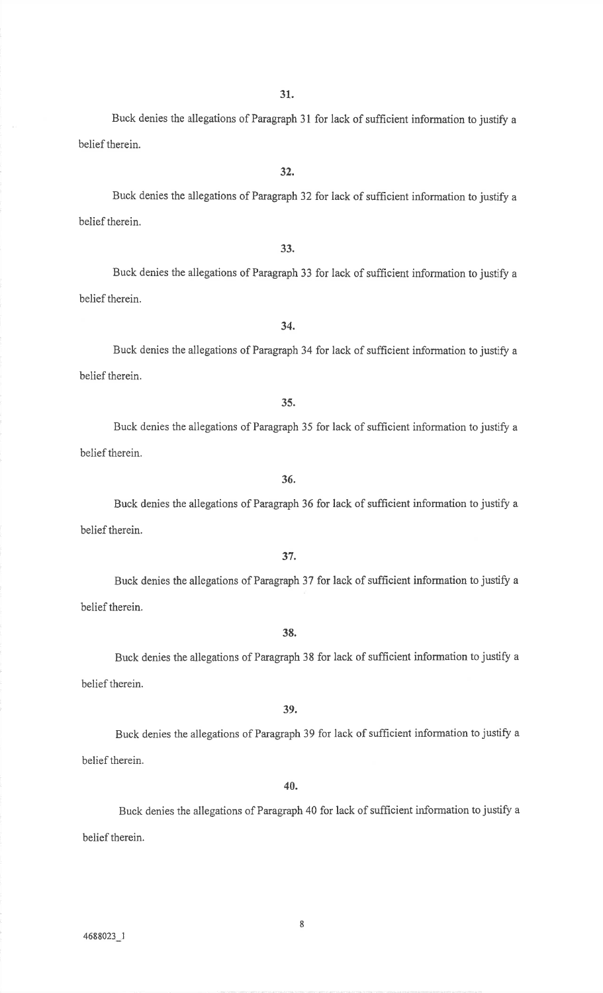Buck denies the allegations of Paragraph 3l for lack of sufficient information to justify abelief therein.

Buck denies the allegations of Paragraph 32 for lack of sufficient information to justify abelief therein.

Buck denies the allegations of Paragraph 33 for lack of sufficient information to justify abelief therein.

33.

Buck denies the allegations of Paragraph 34 for lack of sufficient information to justify abelief therein.

Buck denies the allegations of Paragraph 35 for lack of sufficient information to justify a belief therein.

Buck denies the allegations of Paragraph 36 for lack of sufficient information to justify a belief therein.

Buck denies the allegations of Paragraph 37 for lack of sufficient information to justify a belief therein.

38.

Buck denies the allegations of Paragraph 38 for lack of sufficient information to justify a belief therein.

39.

Buck denies the allegations of Paragraph 39 for lack of sufficient information to justify a belief therein.

40.

Buck denies the allegations of Paragraph 40 for lack of sufficient information to justify abelief therein.

8

# 32.

# 34.

36.

35.

# 37.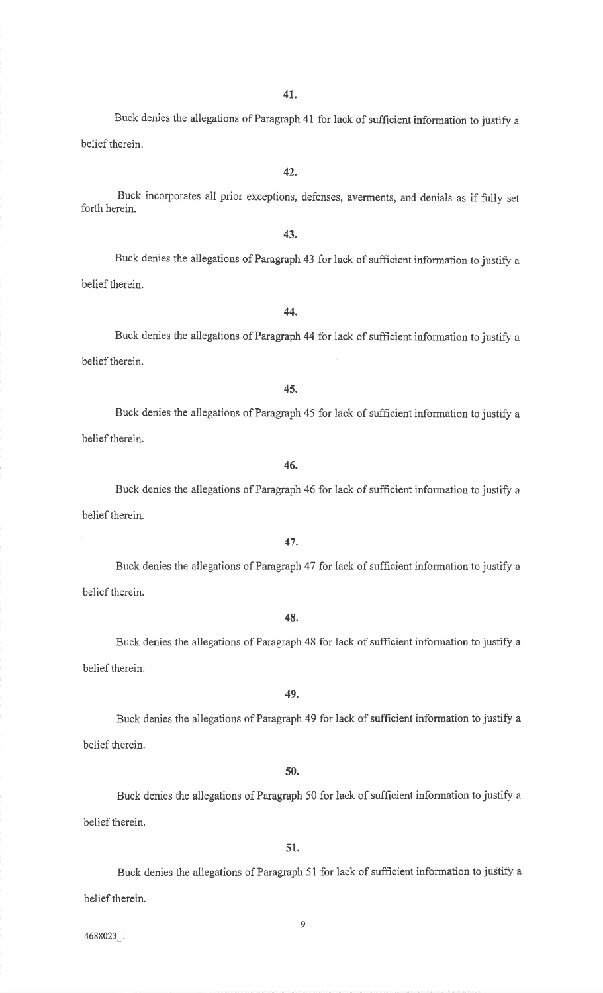Buck denies the allegations of Paragraph 41 for lack of sufficient information to justify a belief therein.

Buck incorporates all prior exceptions, defenses, averments, and denials as if fully setforth herein.

Buck denies the allegations of Paragraph 43 for lack of sufficient information to justify a

43.

44.Buck denies the allegations of Paragraph 44 for lack of sufficient information to justify a

belief therein.

belief therein.

45.

Buck denies the allegations of Paragraph 45 for lack of sufficient information to justify a belief therein.

46.

Buck denies the allegations of Paragraph 46 for lack of sufficient information to justify a belief therein.

47.

Buck denies the allegations of Paragraph 47 for lack of sufficient information to justify abelief therein.

48.

Buck denies the allegations of Paragraph 48 for lack of sufficient information to justify abelief therein.

49.

Buck denies the allegations of Paragraph 49 for lack of sufficient information to justify a belief therein.

50.

Buck denies the allegations of Paragraph 50 for lack of sufficient information to justify a belief therein.

51.

Buck denies the allegations of Paragraph 51 for lack of sufficient information to justify a belief therein.

9

4688023 I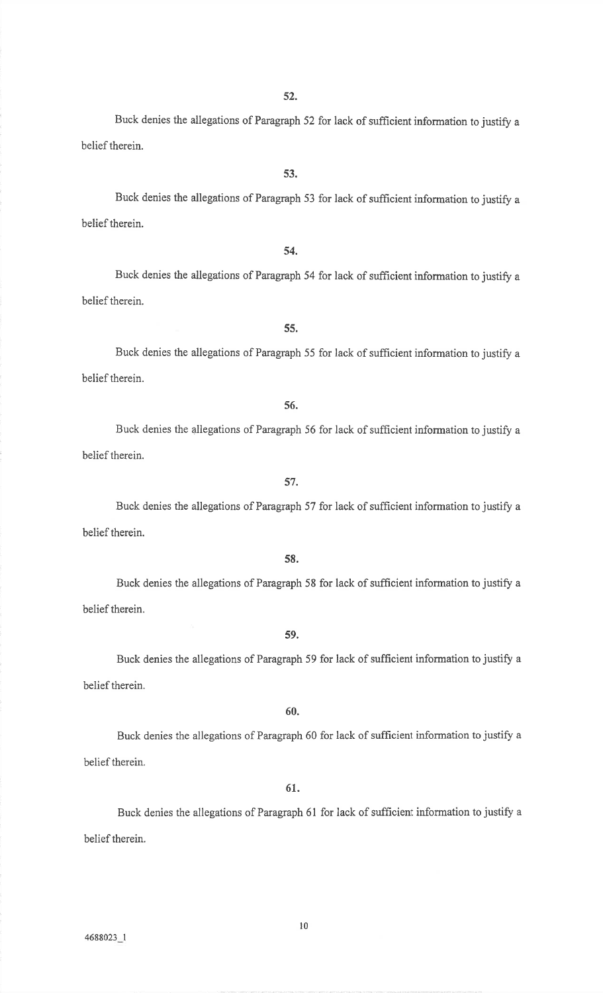Buck denies the allegations of Paragraph 52 for lack of sufficient information to justify abelief therein.

Buck denies the allegations of Paragraph 53 for lack of sufficient information to justify abelief therein.

54.

Buck denies the allegations of Paragraph 54 for lack of sufficient information to justify a belief therein.

Buck denies the allegations of Paragraph 55 for lack of sufficient information to justify abelief therein.

56.

55.

Buck denies the allegations of Paragraph 56 for lack of sufficient information to justify a belief therein.

57.

Buck denies the allegations of Paragraph 57 for lack of sufficient information to justify a belief therein.

58.

Buck denies the allegations of Paragraph 58 for lack of sufficient information to justify a belief therein.

59.

Buck denies the allegations of Paragraph 59 for lack of sufficient information to justify a belief therein.

# 60.

Buck denies the allegations of Paragraph 60 for lack of sufficient information to justify a belief therein.

61.

Buck denies the allegations of Paragraph 61 for lack of sufficient information to justify a belief therein.

l0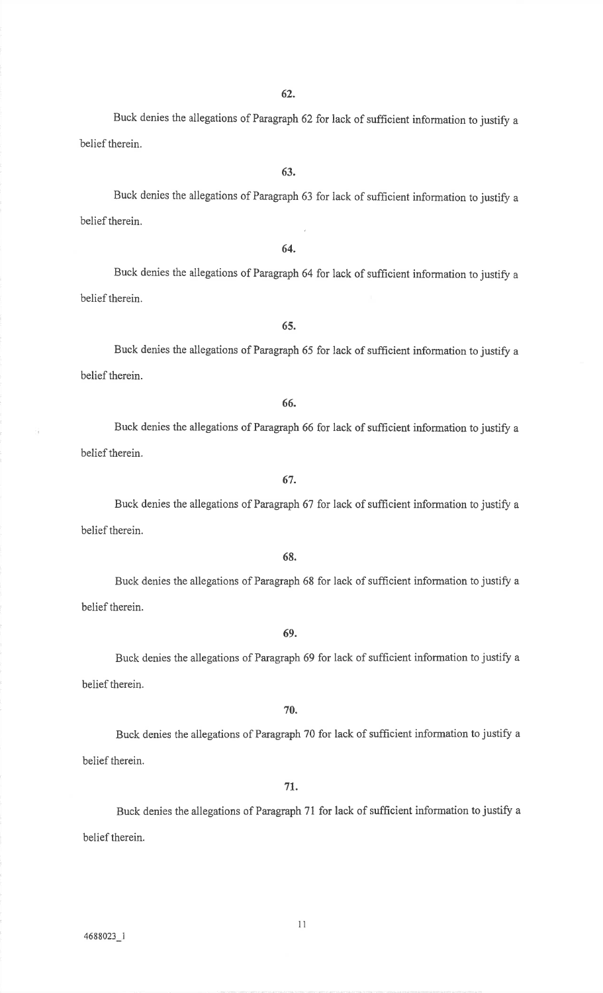Buck denies the allegations of Paragraph 62 for lack of sufficient information to justify a belief therein.

Buck denies the allegations of Paragraph 63 for lack of sufficient information to justify a belief therein.

64.

Buck denies the allegations of Paragraph 64 for lack of sufficient information to justify abelief therein.

Buck denies the allegations of Paragraph 65 for lack of sufficient information to justify a belief therein.

66.

65.

Buck denies the allegations of Paragraph 66 for lack of sufficient information to justify a belief therein.

67.

Buck denies the allegations of Paragraph 67 for lack of sufficient information to justify a belief therein.

68.

Buck denies the allegations of Paragraph 68 for lack of sufficient information to justify a belief therein.

# 69.

Buck denies the allegations of Paragraph 69 for lack of sufficient information to justify a belief therein.

# 70.

Buck denies the allegations of Paragraph 70 for lack of sufficient information to justify abelief therein.

# 7t.

Buck denies the allegations of Paragraph 71 for lack of sufficient information to justify a belief therein.

ti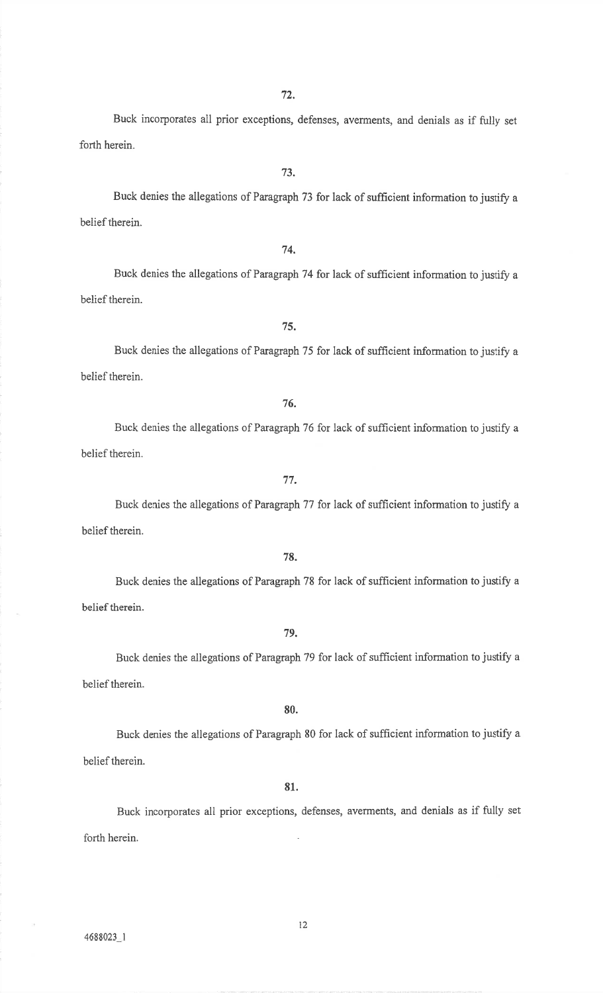Buck incorporates all prior exceptions, defenses, averments, and denials as if fully setforth herein.

Buck denies the allegations of Paragraph 73 for lack of sufficient information to justify a belief therein.

74.

Buck denies the allegations of Paragraph 74 for lack of sufficient information to justify a belief therein.

Buck denies the allegations of Paragraph 75 for lack of sufficient information to justify a belief therein.

76.

75.

Buck denies the allegations of Paragraph 76 for lack of sufficient information to justify a belief therein.

77.

Buck denies the allegations of Paragraph 77 for lack of sufficient information to justify a belief therein.

78.

Buck denies the allegations of Paragraph 78 for lack of sufficient information to justify a belief therein.

79.

Buck denies the allegations of Paragraph 79 for lack of sufficient information to justify abelief therein.

# 80.

Buck denies the allegations of Paragraph 80 for lack of sufficient information to justify abelief therein.

### 81.

Buck incorporates all prior exceptions, defenses, averments, and denials as if fully set forth herein

t2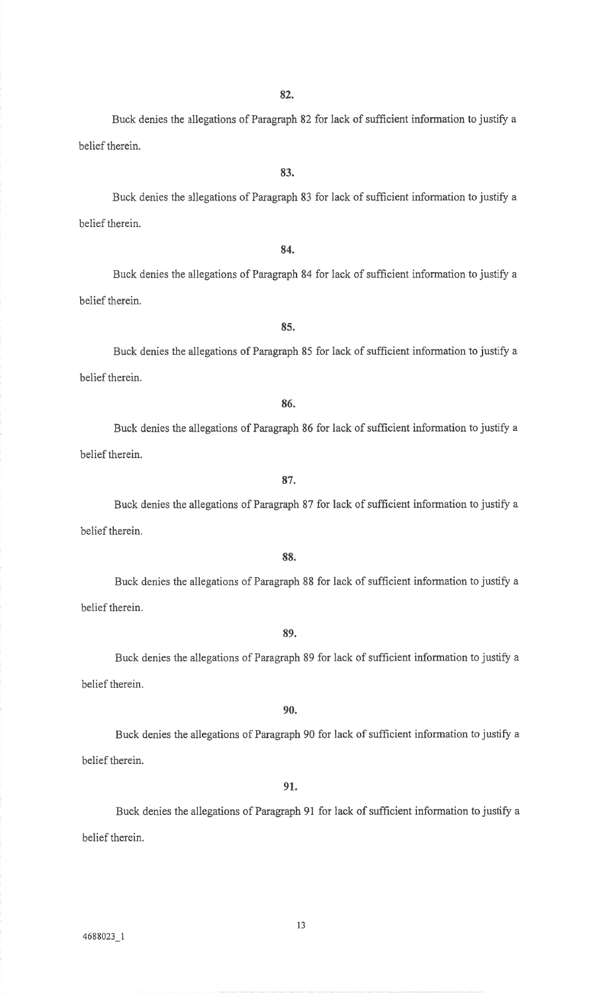Buck denies the allegations of Paragraph 82 for lack of sufficient information to justify a belief therein.

Buck denies the allegations of Paragraph 83 for lack of sufficient information to justify a belief therein.

84.

85.

Buck denies the allegations of Paragraph 84 for lack of sufficient information to justify abelief therein.

Buck denies the allegations of Paragraph 85 for lack of sufficient information to justify abelief therein.

86.

Buck denies the allegations of Paragraph 86 for Iack of sufficient information to justify abelief therein.

Buck denies the allegations of Paragraph 87 for lack of sufficient information to justify a belief therein.

88.

Buck denies the allegations of Paragraph 88 for lack of sufficient information to justify a belief therein.

89.

Buck denies the allegations of Paragraph 89 for lack of sufficient information to justify a belief therein.

# 90.

Buck denies the allegations of Paragraph 90 for lack of sufficient information to justify a belief therein,

### 91.

Buck denies the allegations of Paragraph 91 for lack of sufficient information to justify a belief therein.

l3

# 87.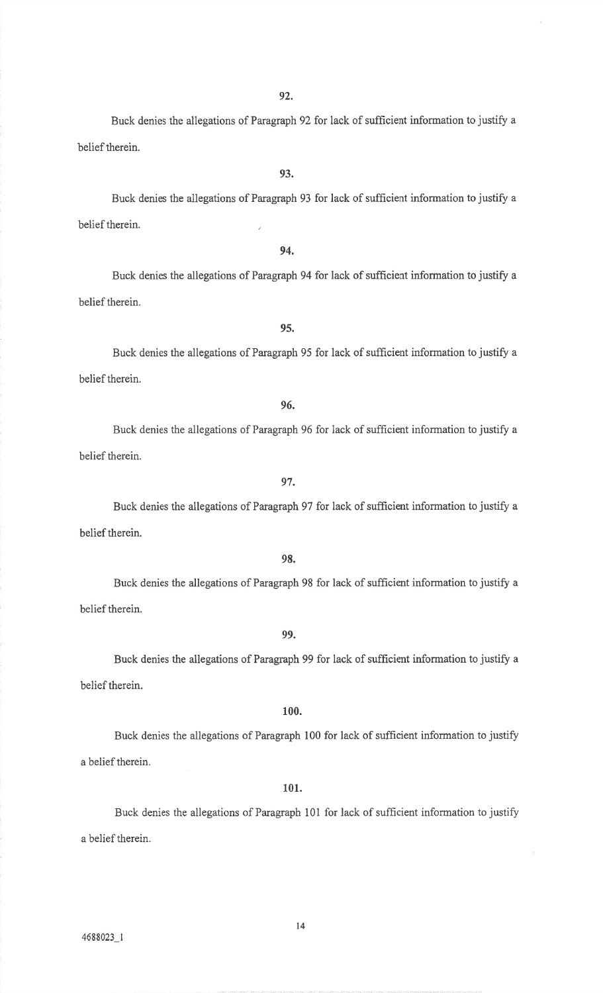93.

Buck denies the allegations of Paragraph 92 for lack of sufficient information to justify a belief therein.

Buck denies the allegations of Paragraph 93 for lack of sufficient information to justify a belief therein.

94.

Buck denies the allegations of Paragraph 94 for lack of sufficient information to justify a belief therein.

Buck denies the allegations of Paragraph 95 for lack of sufficient information to justify a belief therein.

96.

95.

Buck denies the allegations of Paragraph 96 for lack of sufficient information to justify a belief therein.

Buck denies the allegations of Paragraph 97 for lack of sufficient information to justify abelief therein.

98.

Buck denies the allegations of Paragraph 98 for lack of sufficient information to justify abelief therein.

Buck denies the allegations of Paragraph 99 for lack of sufficient information to justify a belief therein.

Buck denies the allegations of Paragraph 100 for lack of sufficient information to justifya belief therein.

101.

Buck denies the allegations of Paragraph 101 for lack of sufficient information to justifya belief therein.

t4

### 99.

# 100.

97.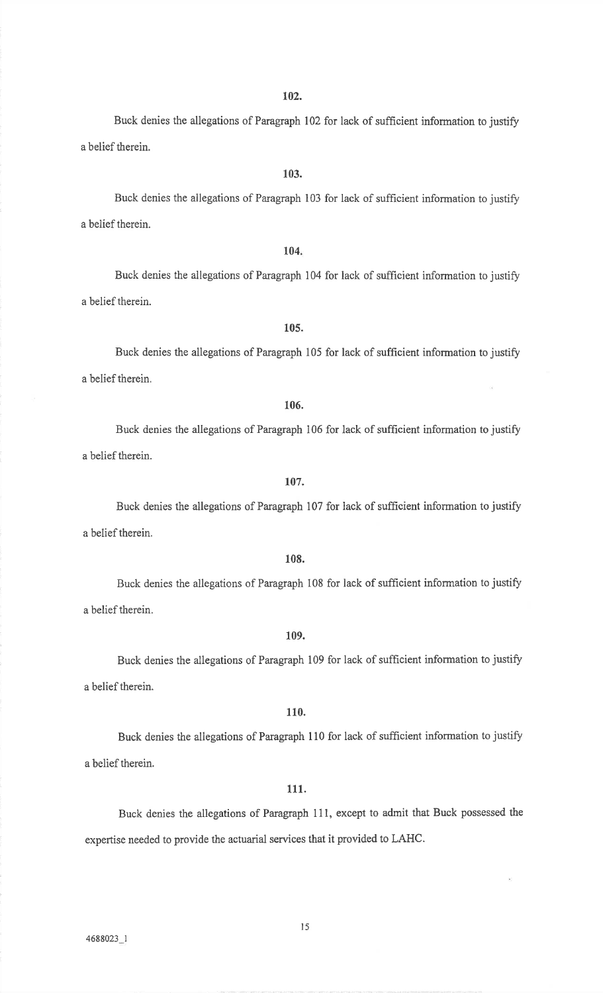Buck denies the allegations of Paragraph 102 for lack of sufficient information to justify a belief therein.

Buck denies the allegations of Paragraph 103 for lack of sufficient information to justify a belief therein.

103.

# 104.

Buck denies the allegations of Paragraph 104 for lack of sufficient information to justify a belief therein.

105.

# Buck denies the allegations of Paragraph 105 for lack of sufficient information to justify a belief therein.

106.

Buck denies the allegations of Paragraph 106 for lack of sufficient information to justify a belief therein.

107.

Buck denies the allegations of Paragraph 107 for lack of sufficient information to justifya belief therein.

### 108.

Buck denies the allegations of Paragraph 108 for lack of sufficient information to justifya belief therein.

### 109.

Buck denies the allegations of Paragraph 109 for lack of sufficient information to justifya belief therein.

### 110.

Buck denies the allegations of Paragraph 110 for lack of sufficient information to justify a belief therein.

### 111.

Buck denies the allegations of Paragraph 11i, except to admit that Buck possessed theexpertise needed to provide the actuarial services that it provided to LAHC.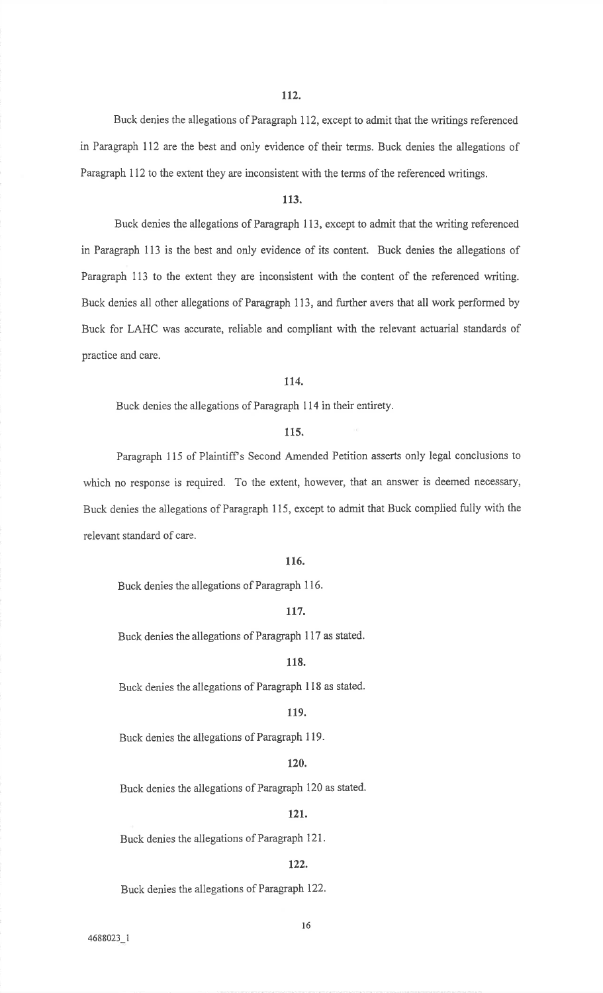Buck denies the allegations of Paragraph 112, except to admit that the writings referencedin Paragraph Il2 are the best and only evidence of their terms. Buck denies the allegations ofParagraph 112 to the extent they are inconsistent with the terms of the referenced writings.

### 113.

Buck denies the allegations of Paragraph I13, except to admit that the writing referencedin Paragraph 113 is the best and only evidence of its content. Buck denies the allegations of Paragraph 113 to the extent they are inconsistent with the content of the referenced writing.Buck denies all other allegations of Paragraph 113, and further avers that all work performed by Buck for LAHC was accuate, reliable and compliant with the relevant actuarial standards ofpractice and care.

## ll4.

Buck denies the allegations of Paragraph 114 in their entirety.

# 115.

Paragraph 115 of Plaintiff's Second Amended Petition asserts only legal conclusions to which no response is required. To the extent, however, that an answer is deemed necessary, Buck denies the allegations of Paragraph 115, except to admit that Buck complied fully with therelevant standard of care.

# 116.

Buck denies the allegations of Paragraph 116.

# tl7.

Buck denies the allegations of Paragraph <sup>117</sup>as stated.

### ll8.

Buck denies the allegations of Paragraph 1 l8 as stated.

## 119.

Buck denies the ailegations of Paragraph 119.

# 120.

Buck denies the allegations of Paragraph 120 as stated.

### 12t.

Buck denies the allegations of Paragraph 121.

# 122.

Buck denies the allegations of Paragraph 122.

4688023 I

16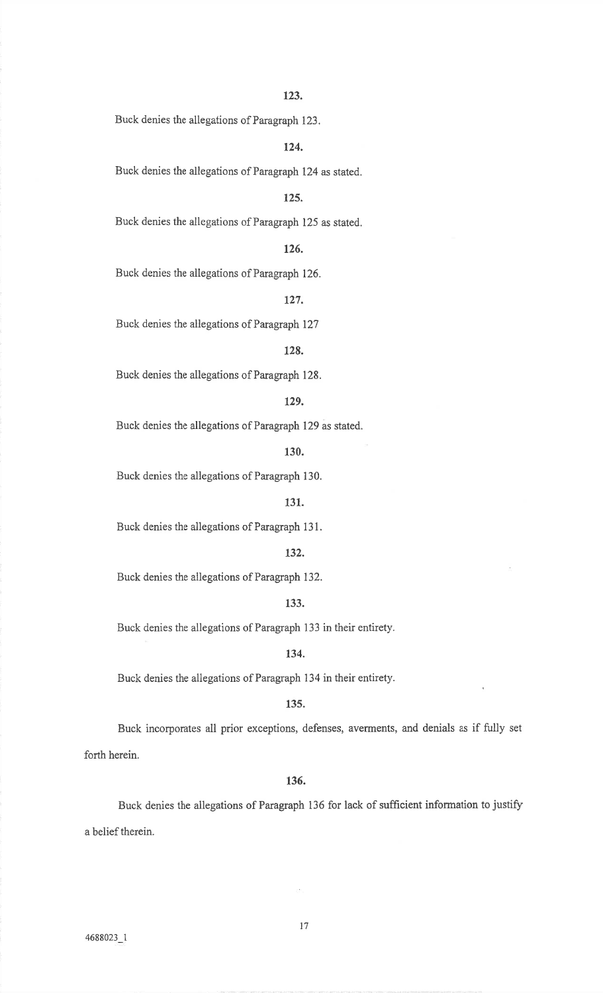Buck denies the allegations of Paragraph 123.

124.

Buck denies the allegations of Paragraph 124 as stated.

# 125.

Buck denies the allegations of Paragraph 125 as stated.

# 126.

Buck denies the allegations of Paragraph 126.

# 127.

Buck denies the allegations of Paragraph 127

# 128.

Buck denies the allegations of Paragraph 128.

# 129.

Buck denies the allegations of Paragraph 129 as stated.

130.

Buck denies the allegations of Paragraph 130.

### 131.

Buck denies the allegations of Paragraph 131,

## 132.

Buck denies the allegations of Paragraph 132.

# 133.

Buck denies the allegations of Paragraph 133 in their entirety.

### 134.

Buck denies the allegations of Paragraph 134 in their entirety.

### 135.

Buck incorporates all prior exceptions, defenses, averments, and denials as if fully set forth herein.

### 136.

Buck denies the allegations of Paragraph 136 for lack of sufficient information to justifya belief therein.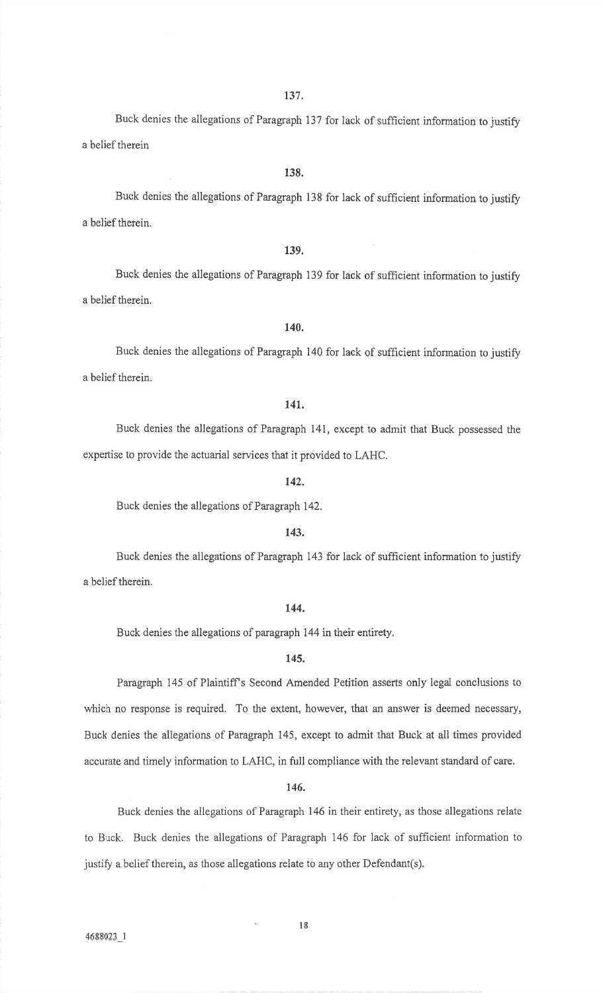Buck denies the allegations of Paragraph 137 for lack of sufficient information to justify a belief therein

### 138.

Buck denies the allegations of Paragraph 138 for lack of sufficient information to justify a belief therein.

### 139.

Buck denies the allegations of Paragraph 139 for lack of suffrcient information to justifya belief therein.

# 140.

Buck denies the allegations of Paragraph 140 for lack of sufficient information to justify a belief therein.

### 141.

Buck denies the allegations of Paragraph 141, except to admit that Buck possessed theexpertise to provide the actuarial services that it provided to LAHC.

# 142.

Buck denies the allegations of Paragraph 142.

### 143.

Buck denies the allegations of Paragraph 143 for lack of sufficient information to justifya belief therein.

### 144.

Buck denies the allegations of paragraph 144 in their entirety.

### 145.

Paragraph 145 of Plaintiff's Second Amended Petition asserts only legal conclusions to which no response is required. To the extent, however, that an answer is deemed necessary,Buck denies the allegations of Paragraph 145, except to admit that Buck at all times providedaccurate and timely information to LAHC, in full compliance with the relevant standard of care.

### 146.

Buck denies the allegations of Paragraph i46 in their entirety, as those allegations relateto Buck. Buck denies the aliegations of Paragraph 146 for lack of sufficient information tojustify a belief therein, as those allegations relate to any other Defendant(s).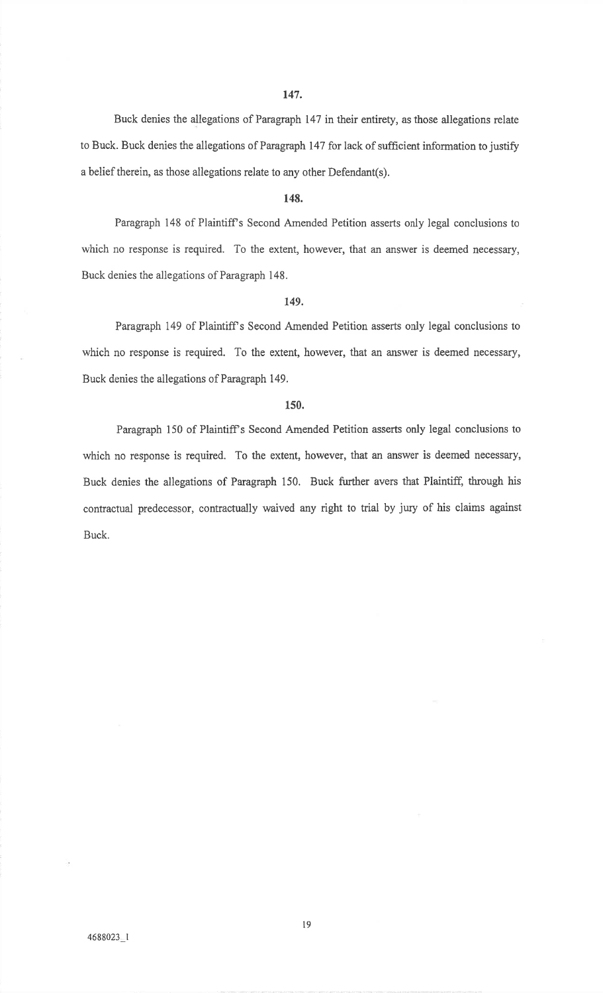Buck denies the allegations of Paragraph 147 in their entirety, as those allegations relateto Buck. Buck denies the allegations of Paragraph 147 for lack of sufficient information to justify a belief therein, as those allegations relate to any other Defendant(s).

### 148.

Paragraph 148 of Plaintiff's Second Amended Petition asserts only legal conclusions to which no response is required. To the extent, however, that an answer is deemed necessary,Buck denies the allegations of Paragraph 148.

### t49.

Paragraph 149 of Plaintiff s Second Amended Petition asserts only legal conclusions towhich no response is required. To the extent, however, that an answer is deemed necessary,Buck denies the allegations of Paragraph 149.

# 150.

Paragraph 150 of Plaintiff's Second Amended Petition asserts only legal conclusions to which no response is required. To the extent, however, that an answer is deemed necessary, Buck denies the allegations of Paragraph 150. Buck further avers that Plaintiff, through hiscontractual predecessor, contractually waived any right to trial by jury of his claims against Buck.